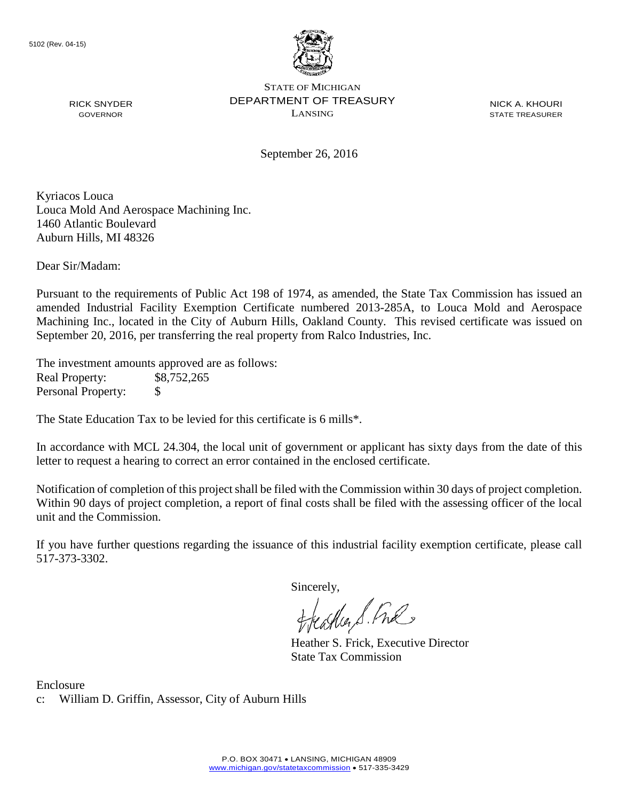

STATE OF MICHIGAN DEPARTMENT OF TREASURY LANSING

NICK A. KHOURI STATE TREASURER

September 26, 2016

Kyriacos Louca Louca Mold And Aerospace Machining Inc. 1460 Atlantic Boulevard Auburn Hills, MI 48326

Dear Sir/Madam:

RICK SNYDER GOVERNOR

Pursuant to the requirements of Public Act 198 of 1974, as amended, the State Tax Commission has issued an amended Industrial Facility Exemption Certificate numbered 2013-285A, to Louca Mold and Aerospace Machining Inc., located in the City of Auburn Hills, Oakland County. This revised certificate was issued on September 20, 2016, per transferring the real property from Ralco Industries, Inc.

The investment amounts approved are as follows: Real Property: \$8,752,265 Personal Property: \$

The State Education Tax to be levied for this certificate is 6 mills\*.

In accordance with MCL 24.304, the local unit of government or applicant has sixty days from the date of this letter to request a hearing to correct an error contained in the enclosed certificate.

Notification of completion of this project shall be filed with the Commission within 30 days of project completion. Within 90 days of project completion, a report of final costs shall be filed with the assessing officer of the local unit and the Commission.

If you have further questions regarding the issuance of this industrial facility exemption certificate, please call 517-373-3302.

Sincerely,

teagher & Fral

Heather S. Frick, Executive Director State Tax Commission

Enclosure c: William D. Griffin, Assessor, City of Auburn Hills